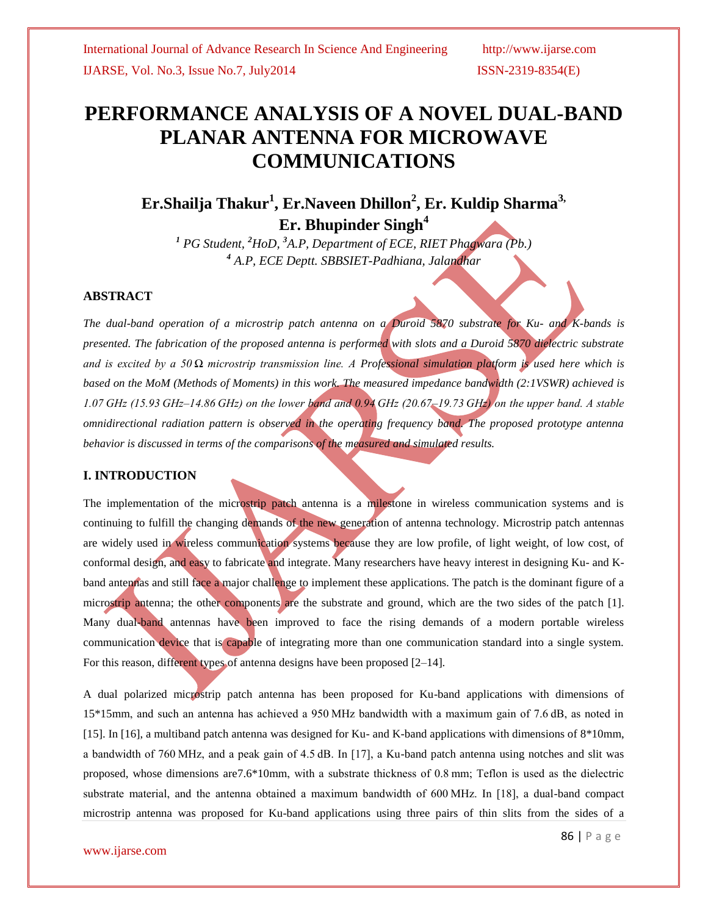# **PERFORMANCE ANALYSIS OF A NOVEL DUAL-BAND PLANAR ANTENNA FOR MICROWAVE COMMUNICATIONS**

# **Er.Shailja Thakur<sup>1</sup> , Er.Naveen Dhillon<sup>2</sup> , Er. Kuldip Sharma3, Er. Bhupinder Singh<sup>4</sup>**

*<sup>1</sup> PG Student, <sup>2</sup>HoD, <sup>3</sup>A.P, Department of ECE, RIET Phagwara (Pb.) <sup>4</sup> A.P, ECE Deptt. SBBSIET-Padhiana, Jalandhar*

#### **ABSTRACT**

*The dual-band operation of a microstrip patch antenna on a Duroid 5870 substrate for Ku- and K-bands is presented. The fabrication of the proposed antenna is performed with slots and a Duroid 5870 dielectric substrate and is excited by a 50 Ω microstrip transmission line. A Professional simulation platform is used here which is based on the MoM (Methods of Moments) in this work. The measured impedance bandwidth (2:1VSWR) achieved is 1.07 GHz (15.93 GHz–14.86 GHz) on the lower band and 0.94 GHz (20.67–19.73 GHz) on the upper band. A stable omnidirectional radiation pattern is observed in the operating frequency band. The proposed prototype antenna behavior is discussed in terms of the comparisons of the measured and simulated results.*

### **I. INTRODUCTION**

The implementation of the microstrip patch antenna is a milestone in wireless communication systems and is continuing to fulfill the changing demands of the new generation of antenna technology. Microstrip patch antennas are widely used in wireless communication systems because they are low profile, of light weight, of low cost, of conformal design, and easy to fabricate and integrate. Many researchers have heavy interest in designing Ku- and Kband antennas and still face a major challenge to implement these applications. The patch is the dominant figure of a microstrip antenna; the other components are the substrate and ground, which are the two sides of the patch [1]. Many dual-band antennas have been improved to face the rising demands of a modern portable wireless communication device that is capable of integrating more than one communication standard into a single system. For this reason, different types of antenna designs have been proposed [2–14].

A dual polarized microstrip patch antenna has been proposed for Ku-band applications with dimensions of 15\*15mm, and such an antenna has achieved a 950 MHz bandwidth with a maximum gain of 7.6 dB, as noted in [15]. In [16], a multiband patch antenna was designed for Ku- and K-band applications with dimensions of 8\*10mm, a bandwidth of 760 MHz, and a peak gain of 4.5 dB. In [17], a Ku-band patch antenna using notches and slit was proposed, whose dimensions are7.6\*10mm, with a substrate thickness of 0.8 mm; Teflon is used as the dielectric substrate material, and the antenna obtained a maximum bandwidth of 600 MHz. In [18], a dual-band compact microstrip antenna was proposed for Ku-band applications using three pairs of thin slits from the sides of a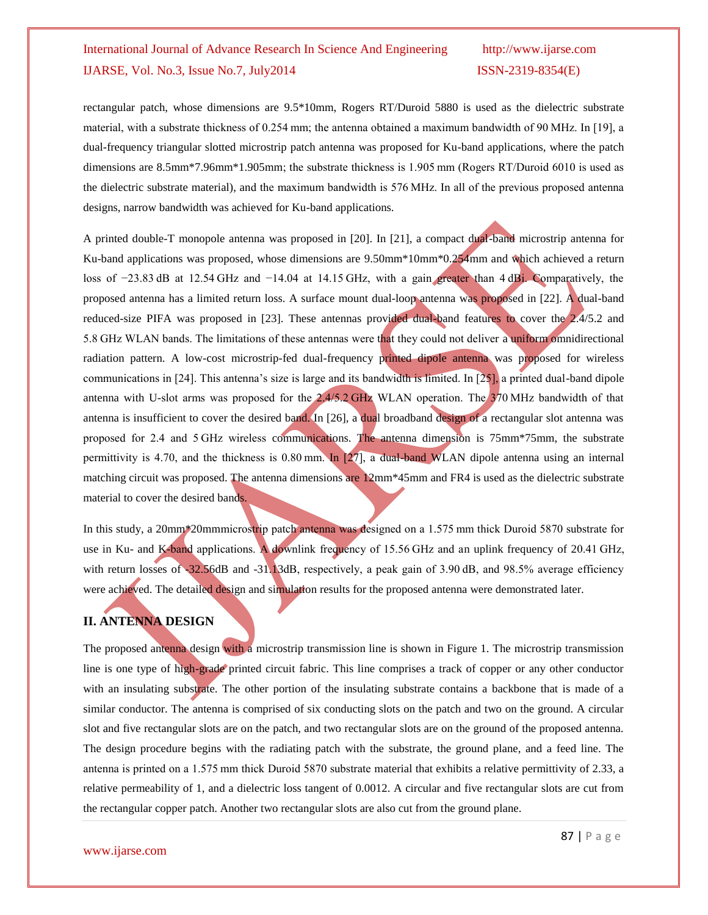rectangular patch, whose dimensions are 9.5\*10mm, Rogers RT/Duroid 5880 is used as the dielectric substrate material, with a substrate thickness of 0.254 mm; the antenna obtained a maximum bandwidth of 90 MHz. In [19], a dual-frequency triangular slotted microstrip patch antenna was proposed for Ku-band applications, where the patch dimensions are 8.5mm\*7.96mm\*1.905mm; the substrate thickness is 1.905 mm (Rogers RT/Duroid 6010 is used as the dielectric substrate material), and the maximum bandwidth is 576 MHz. In all of the previous proposed antenna designs, narrow bandwidth was achieved for Ku-band applications.

A printed double-T monopole antenna was proposed in [20]. In [21], a compact dual-band microstrip antenna for Ku-band applications was proposed, whose dimensions are 9.50mm\*10mm\*0.254mm and which achieved a return loss of −23.83 dB at 12.54 GHz and −14.04 at 14.15 GHz, with a gain greater than 4 dBi. Comparatively, the proposed antenna has a limited return loss. A surface mount dual-loop antenna was proposed in [22]. A dual-band reduced-size PIFA was proposed in [23]. These antennas provided dual-band features to cover the 2.4/5.2 and 5.8 GHz WLAN bands. The limitations of these antennas were that they could not deliver a uniform omnidirectional radiation pattern. A low-cost microstrip-fed dual-frequency printed dipole antenna was proposed for wireless communications in [24]. This antenna's size is large and its bandwidth is limited. In [25], a printed dual-band dipole antenna with U-slot arms was proposed for the 2.4/5.2 GHz WLAN operation. The 370 MHz bandwidth of that antenna is insufficient to cover the desired band. In [26], a dual broadband design of a rectangular slot antenna was proposed for 2.4 and 5 GHz wireless communications. The antenna dimension is 75mm\*75mm, the substrate permittivity is 4.70, and the thickness is 0.80 mm. In [27], a dual-band WLAN dipole antenna using an internal matching circuit was proposed. The antenna dimensions are 12mm\*45mm and FR4 is used as the dielectric substrate material to cover the desired bands.

In this study, a 20mm\*20mmmicrostrip patch antenna was designed on a 1.575 mm thick Duroid 5870 substrate for use in Ku- and K-band applications. A downlink frequency of 15.56 GHz and an uplink frequency of 20.41 GHz, with return losses of -32.56dB and -31.13dB, respectively, a peak gain of 3.90 dB, and 98.5% average efficiency were achieved. The detailed design and simulation results for the proposed antenna were demonstrated later.

# **II. ANTENNA DESIGN**

The proposed antenna design with a microstrip transmission line is shown in Figure 1. The microstrip transmission line is one type of high-grade printed circuit fabric. This line comprises a track of copper or any other conductor with an insulating substrate. The other portion of the insulating substrate contains a backbone that is made of a similar conductor. The antenna is comprised of six conducting slots on the patch and two on the ground. A circular slot and five rectangular slots are on the patch, and two rectangular slots are on the ground of the proposed antenna. The design procedure begins with the radiating patch with the substrate, the ground plane, and a feed line. The antenna is printed on a 1.575 mm thick Duroid 5870 substrate material that exhibits a relative permittivity of 2.33, a relative permeability of 1, and a dielectric loss tangent of 0.0012. A circular and five rectangular slots are cut from the rectangular copper patch. Another two rectangular slots are also cut from the ground plane.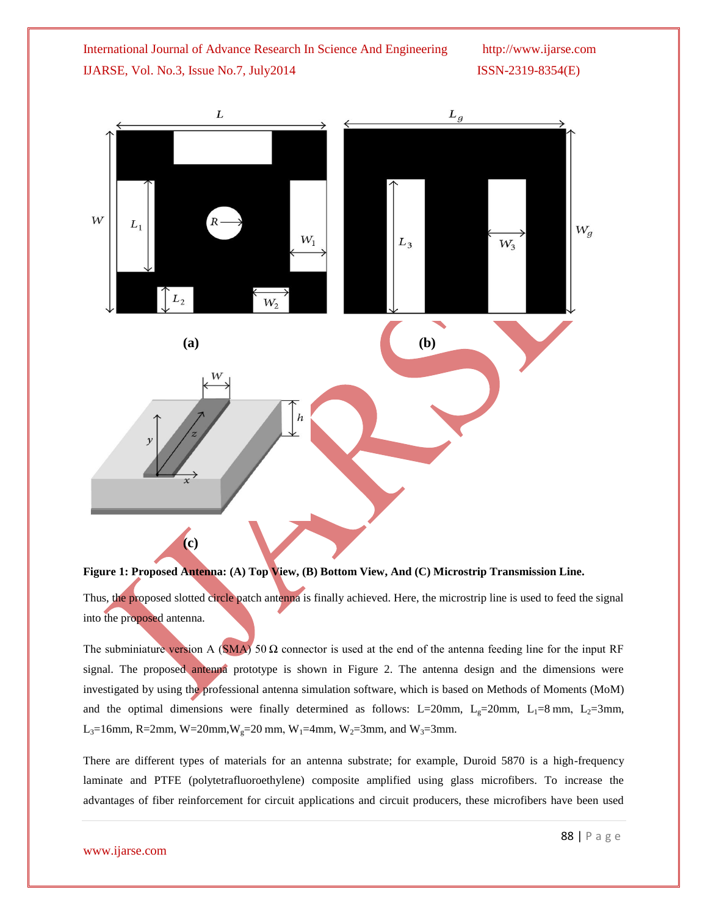

**Figure 1: Proposed Antenna: (A) Top View, (B) Bottom View, And (C) Microstrip Transmission Line.**

Thus, the proposed slotted circle patch antenna is finally achieved. Here, the microstrip line is used to feed the signal into the proposed antenna.

The subminiature version A (SMA) 50  $\Omega$  connector is used at the end of the antenna feeding line for the input RF signal. The proposed antenna prototype is shown in Figure 2. The antenna design and the dimensions were investigated by using the professional antenna simulation software, which is based on Methods of Moments (MoM) and the optimal dimensions were finally determined as follows: L=20mm, L<sub>g</sub>=20mm, L<sub>1</sub>=8 mm, L<sub>2</sub>=3mm, L<sub>3</sub>=16mm, R=2mm, W=20mm, W<sub>g</sub>=20 mm, W<sub>1</sub>=4mm, W<sub>2</sub>=3mm, and W<sub>3</sub>=3mm.

There are different types of materials for an antenna substrate; for example, Duroid 5870 is a high-frequency laminate and PTFE (polytetrafluoroethylene) composite amplified using glass microfibers. To increase the advantages of fiber reinforcement for circuit applications and circuit producers, these microfibers have been used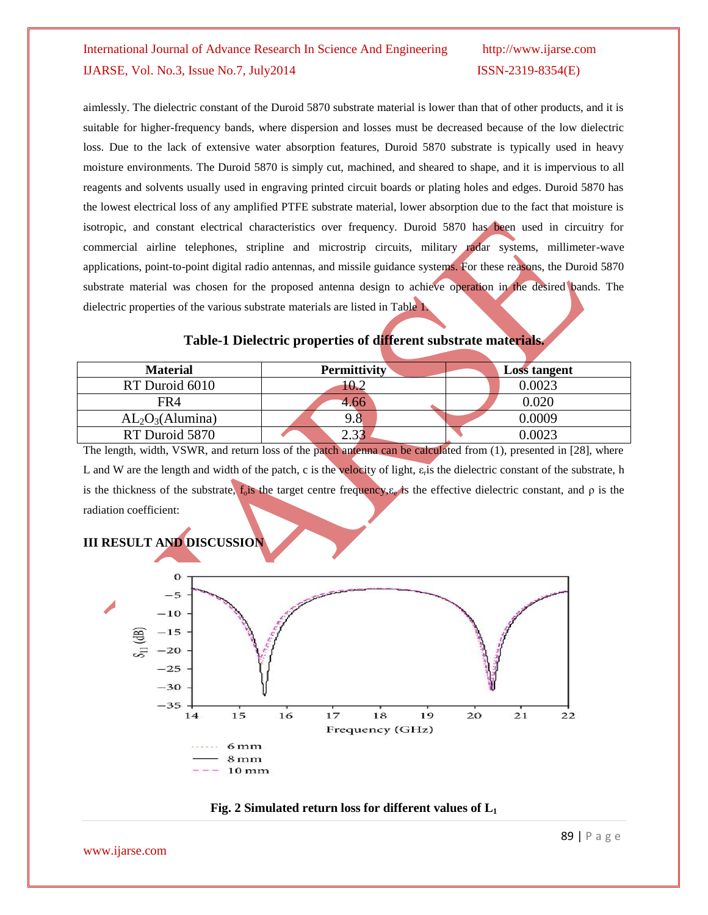aimlessly. The dielectric constant of the Duroid 5870 substrate material is lower than that of other products, and it is suitable for higher-frequency bands, where dispersion and losses must be decreased because of the low dielectric loss. Due to the lack of extensive water absorption features, Duroid 5870 substrate is typically used in heavy moisture environments. The Duroid 5870 is simply cut, machined, and sheared to shape, and it is impervious to all reagents and solvents usually used in engraving printed circuit boards or plating holes and edges. Duroid 5870 has the lowest electrical loss of any amplified PTFE substrate material, lower absorption due to the fact that moisture is isotropic, and constant electrical characteristics over frequency. Duroid 5870 has been used in circuitry for commercial airline telephones, stripline and microstrip circuits, military radar systems, millimeter-wave applications, point-to-point digital radio antennas, and missile guidance systems. For these reasons, the Duroid 5870 substrate material was chosen for the proposed antenna design to achieve operation in the desired bands. The dielectric properties of the various substrate materials are listed in Table 1.

# **Table-1 Dielectric properties of different substrate materials.**

| <b>Material</b>                          | <b>Permittivity</b> | <b>Loss tangent</b> |
|------------------------------------------|---------------------|---------------------|
| RT Duroid 6010                           | 10.2                | 0.0023              |
| FR4                                      | 4.66                | $0.020\,$           |
| AL <sub>2</sub> O <sub>3</sub> (Alumina) | 9.8                 | 0.0009              |
| RT Duroid 5870                           |                     | $\, 0.0023 \,$      |

The length, width, VSWR, and return loss of the patch antenna can be calculated from (1), presented in [28], where L and W are the length and width of the patch, c is the velocity of light,  $\varepsilon$ <sub>r</sub> is the dielectric constant of the substrate, h is the thickness of the substrate,  $f_0$  is the target centre frequency,  $\varepsilon_e$  is the effective dielectric constant, and  $\rho$  is the radiation coefficient:



## **Fig. 2 Simulated return loss for different values of L1**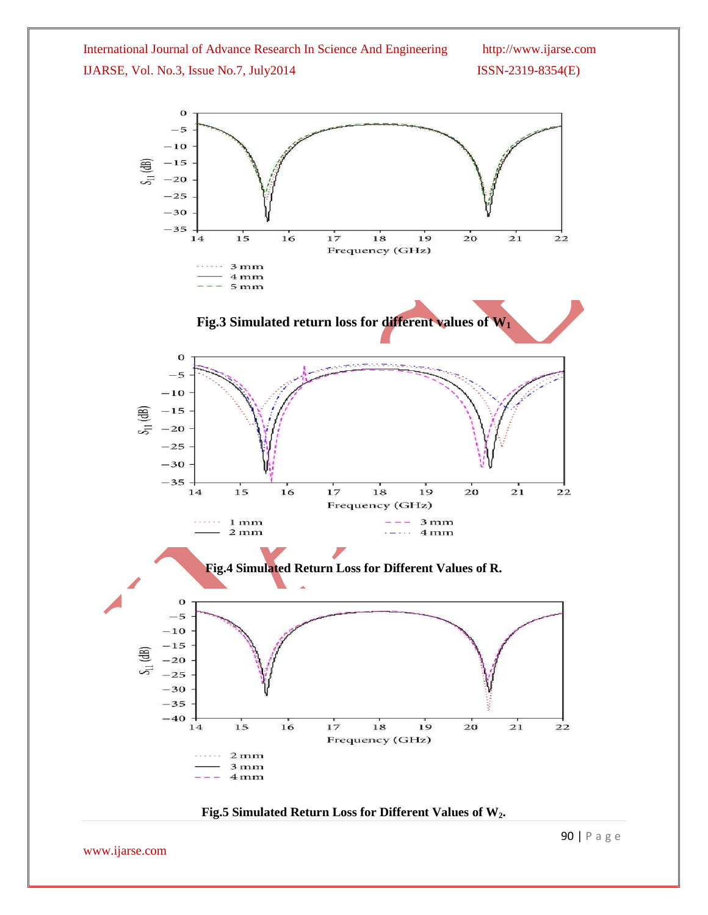

## **Fig.5 Simulated Return Loss for Different Values of W2.**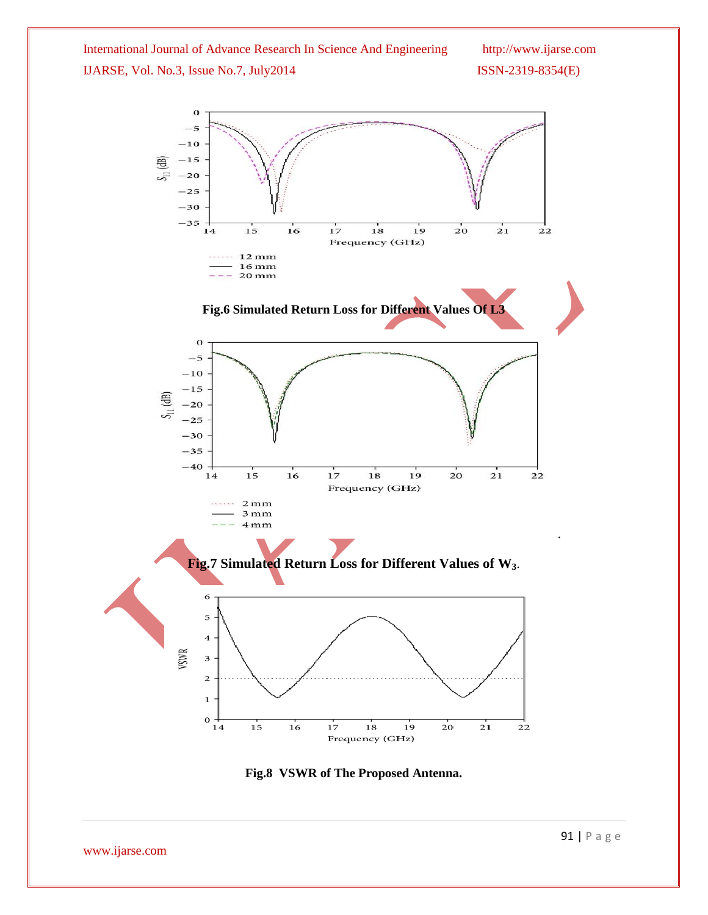$\mathbf 0$  $-5$  $-10$  $-15$ 通  $s_{11}$  $-20$  $-25$  $-30$  $-35$  $17$  $14$ 15 16 18 19 20 21  $22$ Frequency (GHz)  $12 \,\mathrm{mm}$ . . . . . .  $16 \,\mathrm{mm}$  $20 \,\mathrm{mm}$ **Fig.6 Simulated Return Loss for Different Values Of L3**  $\bf{0}$  $-5$  $-10$  $-15$  $(B)$  $-20$  $\overline{5}$  $-25$  $-30$  $-35$  $-40$ 14  $15$  $16$  $17$ 18  $19$  $20$  $\overline{21}$  $\overline{22}$ Frequency (GHz) . . . . . .  $2mm$  $3mm$  $4mm$ . **Fig.7 Simulated Return Loss for Different Values of W3**. 6 5  $\overline{\mathbf{4}}$ **VSWR**  $\mathbf{3}$  $\overline{c}$  $\mathbf 1$  $\mathbf 0$  $\frac{1}{14}$ 15 16 17  $18\,$ 19 20 21 22 Frequency (GHz)

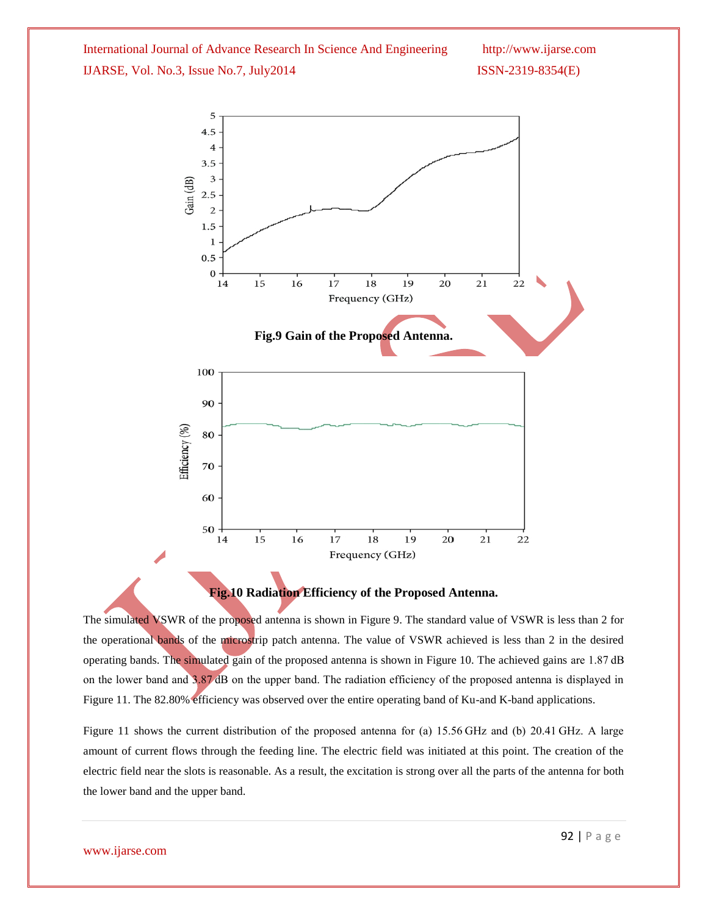

### **Fig.10 Radiation Efficiency of the Proposed Antenna.**

The simulated VSWR of the proposed antenna is shown in Figure 9. The standard value of VSWR is less than 2 for the operational bands of the microstrip patch antenna. The value of VSWR achieved is less than 2 in the desired operating bands. The simulated gain of the proposed antenna is shown in Figure 10. The achieved gains are 1.87 dB on the lower band and 3.87 dB on the upper band. The radiation efficiency of the proposed antenna is displayed in Figure 11. The 82.80% efficiency was observed over the entire operating band of Ku-and K-band applications.

Figure 11 shows the current distribution of the proposed antenna for (a) 15.56 GHz and (b) 20.41 GHz. A large amount of current flows through the feeding line. The electric field was initiated at this point. The creation of the electric field near the slots is reasonable. As a result, the excitation is strong over all the parts of the antenna for both the lower band and the upper band.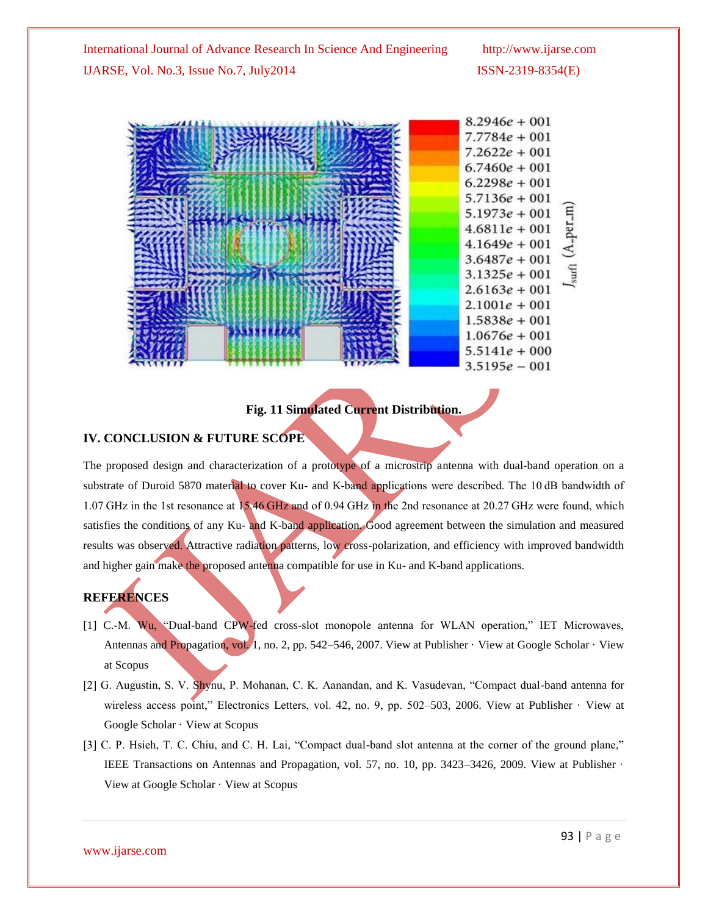| $8.2946e + 001$                         |
|-----------------------------------------|
| $7.7784e + 001$                         |
| $7.2622e + 001$                         |
| $6.7460e + 001$                         |
| $6.2298e + 001$                         |
| $5.7136e + 001$                         |
| $\mathbf{H}$<br>$5.1973e + 001$         |
| (A <sub>-</sub> per.<br>$4.6811e + 001$ |
| $4.1649e + 001$                         |
| $3.6487e + 001$                         |
| surfl<br>$3.1325e + 001$                |
| $2.6163e + 001$                         |
| $2.1001e + 001$                         |
| $1.5838e + 001$                         |
| $1.0676e + 001$                         |
| $5.5141e + 000$                         |
| $3.5195e - 001$                         |

# **Fig. 11 Simulated Current Distribution.**

### **IV. CONCLUSION & FUTURE SCOPE**

The proposed design and characterization of a prototype of a microstrip antenna with dual-band operation on a substrate of Duroid 5870 material to cover Ku- and K-band applications were described. The 10 dB bandwidth of 1.07 GHz in the 1st resonance at 15.46 GHz and of 0.94 GHz in the 2nd resonance at 20.27 GHz were found, which satisfies the conditions of any Ku- and K-band application. Good agreement between the simulation and measured results was observed. Attractive radiation patterns, low cross-polarization, and efficiency with improved bandwidth and higher gain make the proposed antenna compatible for use in Ku- and K-band applications.

### **REFERENCES**

- [1] C.-M. Wu, "Dual-band CPW-fed cross-slot monopole antenna for WLAN operation," IET Microwaves, Antennas and Propagation, vol. 1, no. 2, pp. 542–546, 2007. View at Publisher · View at Google Scholar · View at Scopus
- [2] G. Augustin, S. V. Shynu, P. Mohanan, C. K. Aanandan, and K. Vasudevan, "Compact dual-band antenna for wireless access point," Electronics Letters, vol. 42, no. 9, pp. 502–503, 2006. View at Publisher · View at Google Scholar · View at Scopus
- [3] C. P. Hsieh, T. C. Chiu, and C. H. Lai, "Compact dual-band slot antenna at the corner of the ground plane," IEEE Transactions on Antennas and Propagation, vol. 57, no. 10, pp. 3423–3426, 2009. View at Publisher · View at Google Scholar · View at Scopus